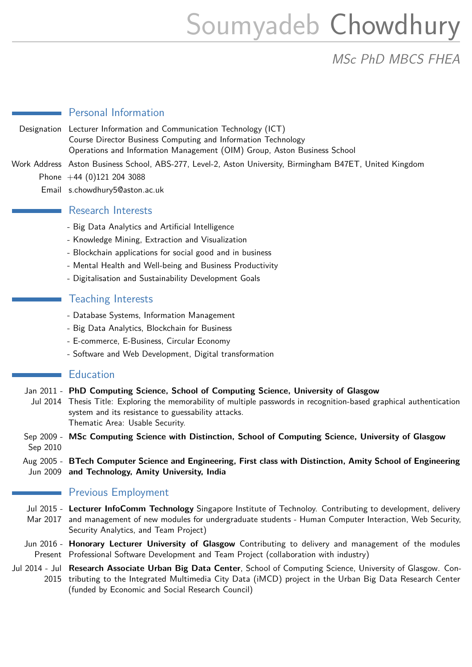# Soumyadeb Chowdhury

MSc PhD MBCS FHEA

### Personal Information

Designation Lecturer Information and Communication Technology (ICT) Course Director Business Computing and Information Technology Operations and Information Management (OIM) Group, Aston Business School Work Address Aston Business School, ABS-277, Level-2, Aston University, Birmingham B47ET, United Kingdom

- Phone  $+44$  (0)121 204 3088
	- Email s.chowdhury5@aston.ac.uk

### Research Interests

- Big Data Analytics and Artificial Intelligence
- Knowledge Mining, Extraction and Visualization
- Blockchain applications for social good and in business
- Mental Health and Well-being and Business Productivity
- Digitalisation and Sustainability Development Goals

# Teaching Interests

- Database Systems, Information Management
- Big Data Analytics, Blockchain for Business
- E-commerce, E-Business, Circular Economy
- Software and Web Development, Digital transformation

#### **Education**

Jan 2011 - **PhD Computing Science, School of Computing Science, University of Glasgow** Jul 2014 Thesis Title: Exploring the memorability of multiple passwords in recognition-based graphical authentication system and its resistance to guessability attacks. Thematic Area: Usable Security.

Sep 2009 - **MSc Computing Science with Distinction, School of Computing Science, University of Glasgow** Sep 2010

Aug 2005 - **BTech Computer Science and Engineering, First class with Distinction, Amity School of Engineering** Jun 2009 **and Technology, Amity University, India**

# **Previous Employment**

Jul 2015 - **Lecturer InfoComm Technology** Singapore Institute of Technoloy. Contributing to development, delivery Mar 2017 and management of new modules for undergraduate students - Human Computer Interaction, Web Security, Security Analytics, and Team Project)

Jun 2016 - **Honorary Lecturer University of Glasgow** Contributing to delivery and management of the modules Present Professional Software Development and Team Project (collaboration with industry)

Jul 2014 - Jul **Research Associate Urban Big Data Center**, School of Computing Science, University of Glasgow. Con-2015 tributing to the Integrated Multimedia City Data (iMCD) project in the Urban Big Data Research Center (funded by Economic and Social Research Council)